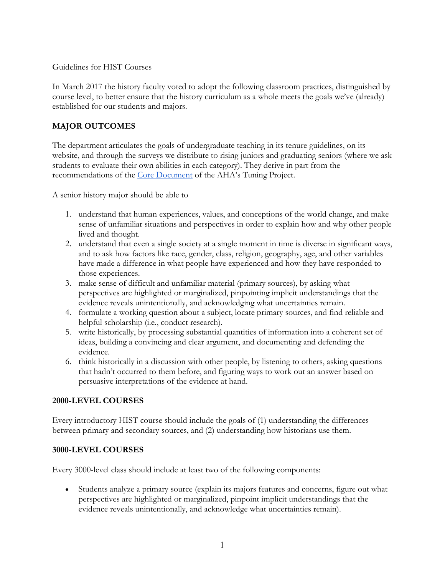Guidelines for HIST Courses

In March 2017 the history faculty voted to adopt the following classroom practices, distinguished by course level, to better ensure that the history curriculum as a whole meets the goals we've (already) established for our students and majors.

# **MAJOR OUTCOMES**

The department articulates the goals of undergraduate teaching in its tenure guidelines, on its website, and through the surveys we distribute to rising juniors and graduating seniors (where we ask students to evaluate their own abilities in each category). They derive in part from the recommendations of the [Core Document](https://www.historians.org/teaching-and-learning/tuning-the-history-discipline/2016-history-discipline-core) of the AHA's Tuning Project.

A senior history major should be able to

- 1. understand that human experiences, values, and conceptions of the world change, and make sense of unfamiliar situations and perspectives in order to explain how and why other people lived and thought.
- 2. understand that even a single society at a single moment in time is diverse in significant ways, and to ask how factors like race, gender, class, religion, geography, age, and other variables have made a difference in what people have experienced and how they have responded to those experiences.
- 3. make sense of difficult and unfamiliar material (primary sources), by asking what perspectives are highlighted or marginalized, pinpointing implicit understandings that the evidence reveals unintentionally, and acknowledging what uncertainties remain.
- 4. formulate a working question about a subject, locate primary sources, and find reliable and helpful scholarship (i.e., conduct research).
- 5. write historically, by processing substantial quantities of information into a coherent set of ideas, building a convincing and clear argument, and documenting and defending the evidence.
- 6. think historically in a discussion with other people, by listening to others, asking questions that hadn't occurred to them before, and figuring ways to work out an answer based on persuasive interpretations of the evidence at hand.

#### **2000-LEVEL COURSES**

Every introductory HIST course should include the goals of (1) understanding the differences between primary and secondary sources, and (2) understanding how historians use them.

#### **3000-LEVEL COURSES**

Every 3000-level class should include at least two of the following components:

• Students analyze a primary source (explain its majors features and concerns, figure out what perspectives are highlighted or marginalized, pinpoint implicit understandings that the evidence reveals unintentionally, and acknowledge what uncertainties remain).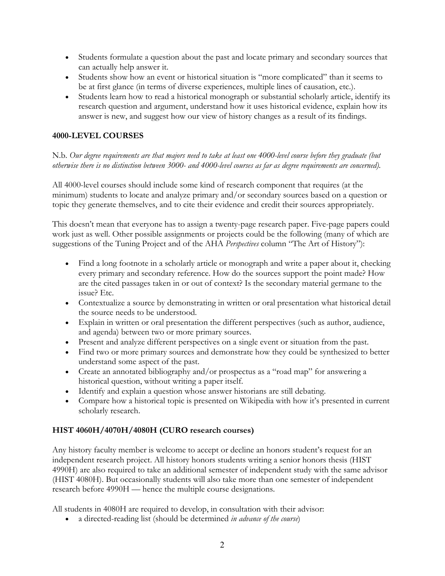- Students formulate a question about the past and locate primary and secondary sources that can actually help answer it.
- Students show how an event or historical situation is "more complicated" than it seems to be at first glance (in terms of diverse experiences, multiple lines of causation, etc.).
- Students learn how to read a historical monograph or substantial scholarly article, identify its research question and argument, understand how it uses historical evidence, explain how its answer is new, and suggest how our view of history changes as a result of its findings.

## **4000-LEVEL COURSES**

### N.b. *Our degree requirements are that majors need to take at least one 4000-level course before they graduate (but otherwise there is no distinction between 3000- and 4000-level courses as far as degree requirements are concerned).*

All 4000-level courses should include some kind of research component that requires (at the minimum) students to locate and analyze primary and/or secondary sources based on a question or topic they generate themselves, and to cite their evidence and credit their sources appropriately.

This doesn't mean that everyone has to assign a twenty-page research paper. Five-page papers could work just as well. Other possible assignments or projects could be the following (many of which are suggestions of the Tuning Project and of the AHA *Perspectives* column "The Art of History"):

- Find a long footnote in a scholarly article or monograph and write a paper about it, checking every primary and secondary reference. How do the sources support the point made? How are the cited passages taken in or out of context? Is the secondary material germane to the issue? Etc.
- Contextualize a source by demonstrating in written or oral presentation what historical detail the source needs to be understood.
- Explain in written or oral presentation the different perspectives (such as author, audience, and agenda) between two or more primary sources.
- Present and analyze different perspectives on a single event or situation from the past.
- Find two or more primary sources and demonstrate how they could be synthesized to better understand some aspect of the past.
- Create an annotated bibliography and/or prospectus as a "road map" for answering a historical question, without writing a paper itself.
- Identify and explain a question whose answer historians are still debating.
- Compare how a historical topic is presented on Wikipedia with how it's presented in current scholarly research.

# **HIST 4060H/4070H/4080H (CURO research courses)**

Any history faculty member is welcome to accept or decline an honors student's request for an independent research project. All history honors students writing a senior honors thesis (HIST 4990H) are also required to take an additional semester of independent study with the same advisor (HIST 4080H). But occasionally students will also take more than one semester of independent research before 4990H — hence the multiple course designations.

All students in 4080H are required to develop, in consultation with their advisor:

• a directed-reading list (should be determined *in advance of the course*)